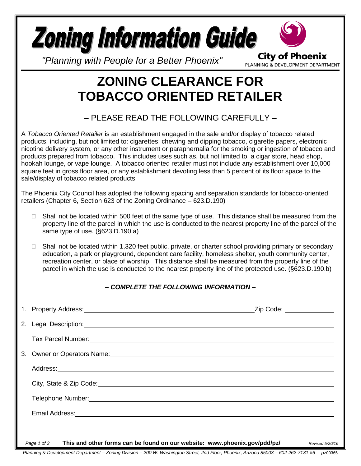

PLANNING & DEVELOPMENT DEPARTMENT

*"Planning with People for a Better Phoenix"*

## **ZONING CLEARANCE FOR TOBACCO ORIENTED RETAILER**

## – PLEASE READ THE FOLLOWING CAREFULLY –

A *Tobacco Oriented Retailer* is an establishment engaged in the sale and/or display of tobacco related products, including, but not limited to: cigarettes, chewing and dipping tobacco, cigarette papers, electronic nicotine delivery system, or any other instrument or paraphernalia for the smoking or ingestion of tobacco and products prepared from tobacco. This includes uses such as, but not limited to, a cigar store, head shop, hookah lounge, or vape lounge. A tobacco oriented retailer must not include any establishment over 10,000 square feet in gross floor area, or any establishment devoting less than 5 percent of its floor space to the sale/display of tobacco related products

The Phoenix City Council has adopted the following spacing and separation standards for tobacco-oriented retailers (Chapter 6, Section 623 of the Zoning Ordinance – 623.D.190)

- $\Box$  Shall not be located within 500 feet of the same type of use. This distance shall be measured from the property line of the parcel in which the use is conducted to the nearest property line of the parcel of the same type of use. (§623.D.190.a)
- $\Box$  Shall not be located within 1,320 feet public, private, or charter school providing primary or secondary education, a park or playground, dependent care facility, homeless shelter, youth community center, recreation center, or place of worship. This distance shall be measured from the property line of the parcel in which the use is conducted to the nearest property line of the protected use. (§623.D.190.b)

## *– COMPLETE THE FOLLOWING INFORMATION –*

| Tax Parcel Number: 1999 Contract Contract Contract Contract Contract Contract Contract Contract Contract Contract Contract Contract Contract Contract Contract Contract Contract Contract Contract Contract Contract Contract        |                 |
|--------------------------------------------------------------------------------------------------------------------------------------------------------------------------------------------------------------------------------------|-----------------|
|                                                                                                                                                                                                                                      |                 |
| Address: <u>example and a series of the series of the series of the series of the series of the series of the series of the series of the series of the series of the series of the series of the series of the series of the se</u> |                 |
|                                                                                                                                                                                                                                      |                 |
|                                                                                                                                                                                                                                      |                 |
|                                                                                                                                                                                                                                      |                 |
|                                                                                                                                                                                                                                      |                 |
| This and other forms can be found on our website: www.phoenix.gov/pdd/pz/<br>Page 1 of 3                                                                                                                                             | Revised 5/20/16 |

*Planning & Development Department – Zoning Division – 200 W. Washington Street, 2nd Floor, Phoenix, Arizona 85003 – 602-262-7131 #6 pz*00365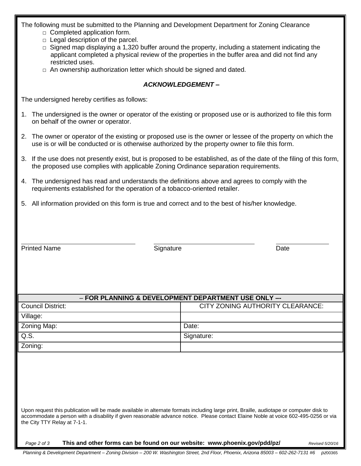| The following must be submitted to the Planning and Development Department for Zoning Clearance |  |  |
|-------------------------------------------------------------------------------------------------|--|--|
|                                                                                                 |  |  |

- $\Box$  Completed application form.
- $\Box$  Legal description of the parcel.
- $\Box$  Signed map displaying a 1,320 buffer around the property, including a statement indicating the applicant completed a physical review of the properties in the buffer area and did not find any restricted uses.
- $\Box$  An ownership authorization letter which should be signed and dated.

## *ACKNOWLEDGEMENT –*

The undersigned hereby certifies as follows:

- 1. The undersigned is the owner or operator of the existing or proposed use or is authorized to file this form on behalf of the owner or operator.
- 2. The owner or operator of the existing or proposed use is the owner or lessee of the property on which the use is or will be conducted or is otherwise authorized by the property owner to file this form.
- 3. If the use does not presently exist, but is proposed to be established, as of the date of the filing of this form, the proposed use complies with applicable Zoning Ordinance separation requirements.
- 4. The undersigned has read and understands the definitions above and agrees to comply with the requirements established for the operation of a tobacco-oriented retailer.
- 5. All information provided on this form is true and correct and to the best of his/her knowledge.

| - FOR PLANNING & DEVELOPMENT DEPARTMENT USE ONLY --                                                                                                                                                                                                                                                            |                                  |  |  |  |
|----------------------------------------------------------------------------------------------------------------------------------------------------------------------------------------------------------------------------------------------------------------------------------------------------------------|----------------------------------|--|--|--|
| <b>Council District:</b>                                                                                                                                                                                                                                                                                       | CITY ZONING AUTHORITY CLEARANCE: |  |  |  |
| Village:                                                                                                                                                                                                                                                                                                       |                                  |  |  |  |
| Zoning Map:                                                                                                                                                                                                                                                                                                    | Date:                            |  |  |  |
| Q.S.                                                                                                                                                                                                                                                                                                           | Signature:                       |  |  |  |
| Zoning:                                                                                                                                                                                                                                                                                                        |                                  |  |  |  |
|                                                                                                                                                                                                                                                                                                                |                                  |  |  |  |
|                                                                                                                                                                                                                                                                                                                |                                  |  |  |  |
|                                                                                                                                                                                                                                                                                                                |                                  |  |  |  |
|                                                                                                                                                                                                                                                                                                                |                                  |  |  |  |
|                                                                                                                                                                                                                                                                                                                |                                  |  |  |  |
| Upon request this publication will be made available in alternate formats including large print, Braille, audiotape or computer disk to<br>accommodate a person with a disability if given reasonable advance notice. Please contact Elaine Noble at voice 602-495-0256 or via<br>the City TTY Relay at 7-1-1. |                                  |  |  |  |

*Page 2 of 3* **This and other forms can be found on our website: www.phoenix.gov/pdd/pz/** *Revised 5/20/16*

Printed Name **Signature Contact System** Signature **Contact System** Signature **Date** Date